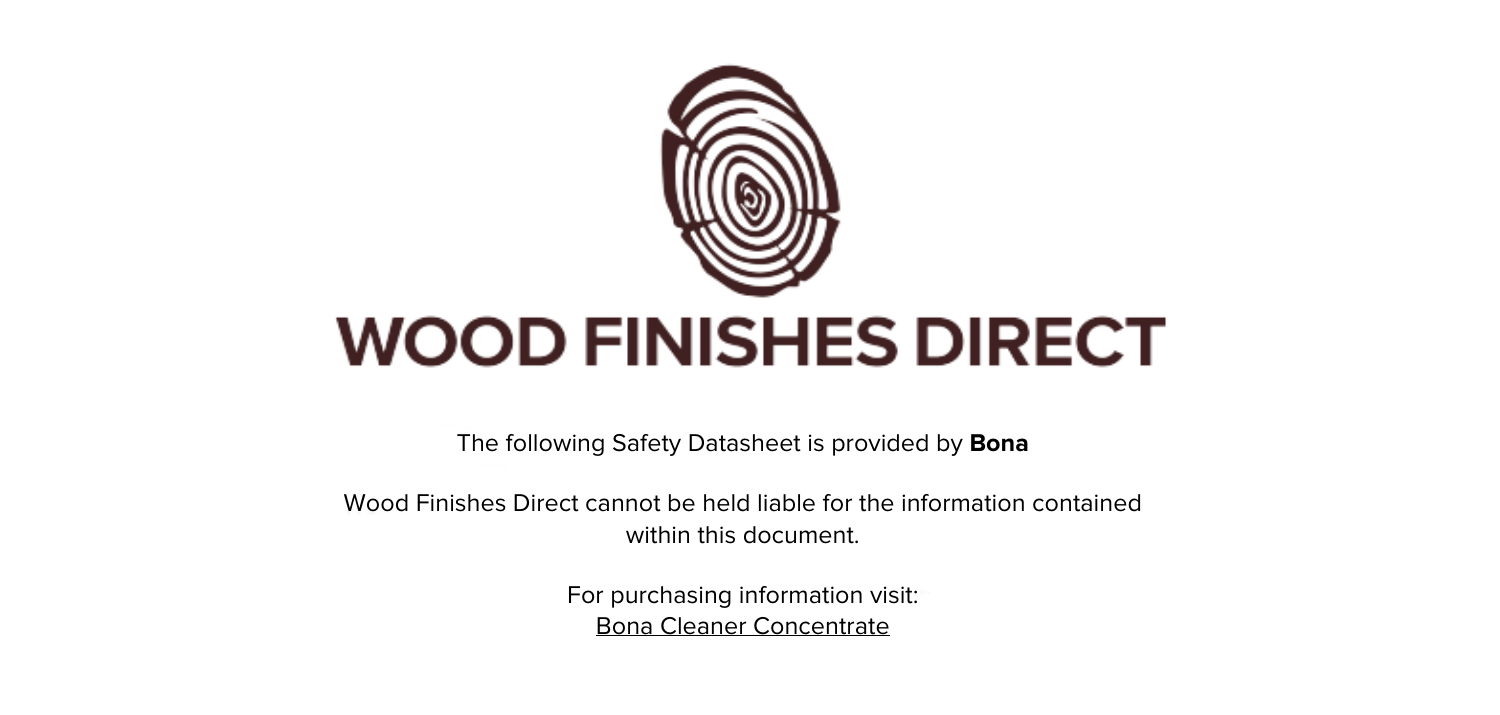

The following Safety Datasheet is provided by **Bona**

Wood Finishes Direct cannot be held liable for the information contained within this document

> For purchasing information visit: [Bona Cleaner Concentrate](https://www.wood-finishes-direct.com/product/bona-floor-cleaner-concentrate)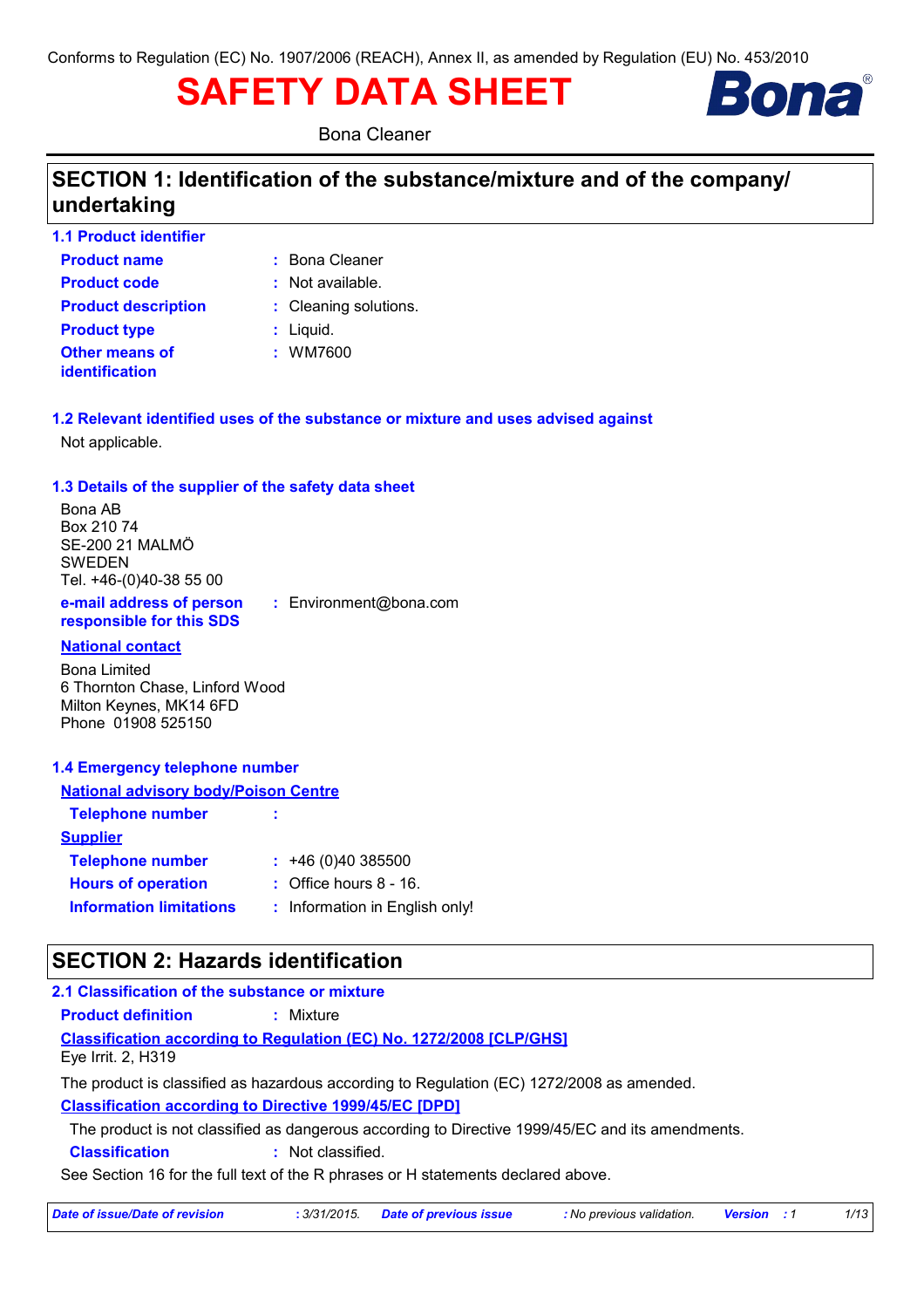# **SAFETY DATA SHEET**



**Bona Cleaner** 

# SECTION 1: Identification of the substance/mixture and of the company/ undertaking

| 1.1 Product identifier     |                       |
|----------------------------|-----------------------|
| <b>Product name</b>        | : Bona Cleaner        |
| <b>Product code</b>        | : Not available.      |
| <b>Product description</b> | : Cleaning solutions. |
| <b>Product type</b>        | $:$ Liquid.           |
| <b>Other means of</b>      | : WM7600              |
| identification             |                       |

1.2 Relevant identified uses of the substance or mixture and uses advised against Not applicable.

#### 1.3 Details of the supplier of the safety data sheet

Bona AB Box 210 74 SE-200 21 MALMÖ **SWEDEN** Tel. +46-(0)40-38 55 00 e-mail address of person

responsible for this SDS

: Environment@bona.com

#### **National contact**

**Bona Limited** 6 Thornton Chase, Linford Wood Milton Keynes, MK14 6FD Phone 01908 525150

#### 1.4 Emergency telephone number

| <b>National advisory body/Poison Centre</b> |                                   |  |  |  |  |  |
|---------------------------------------------|-----------------------------------|--|--|--|--|--|
| <b>Telephone number</b>                     |                                   |  |  |  |  |  |
| <b>Supplier</b>                             |                                   |  |  |  |  |  |
| <b>Telephone number</b>                     | : 46(0)40385500                   |  |  |  |  |  |
| <b>Hours of operation</b>                   | $\therefore$ Office hours 8 - 16. |  |  |  |  |  |
| <b>Information limitations</b>              | : Information in English only!    |  |  |  |  |  |

# **SECTION 2: Hazards identification**

#### 2.1 Classification of the substance or mixture

: Mixture **Product definition** 

#### **Classification according to Regulation (EC) No. 1272/2008 [CLP/GHS]** Eye Irrit. 2, H319

The product is classified as hazardous according to Regulation (EC) 1272/2008 as amended. **Classification according to Directive 1999/45/EC [DPD]** 

The product is not classified as dangerous according to Directive 1999/45/EC and its amendments.

**Classification** : Not classified.

See Section 16 for the full text of the R phrases or H statements declared above.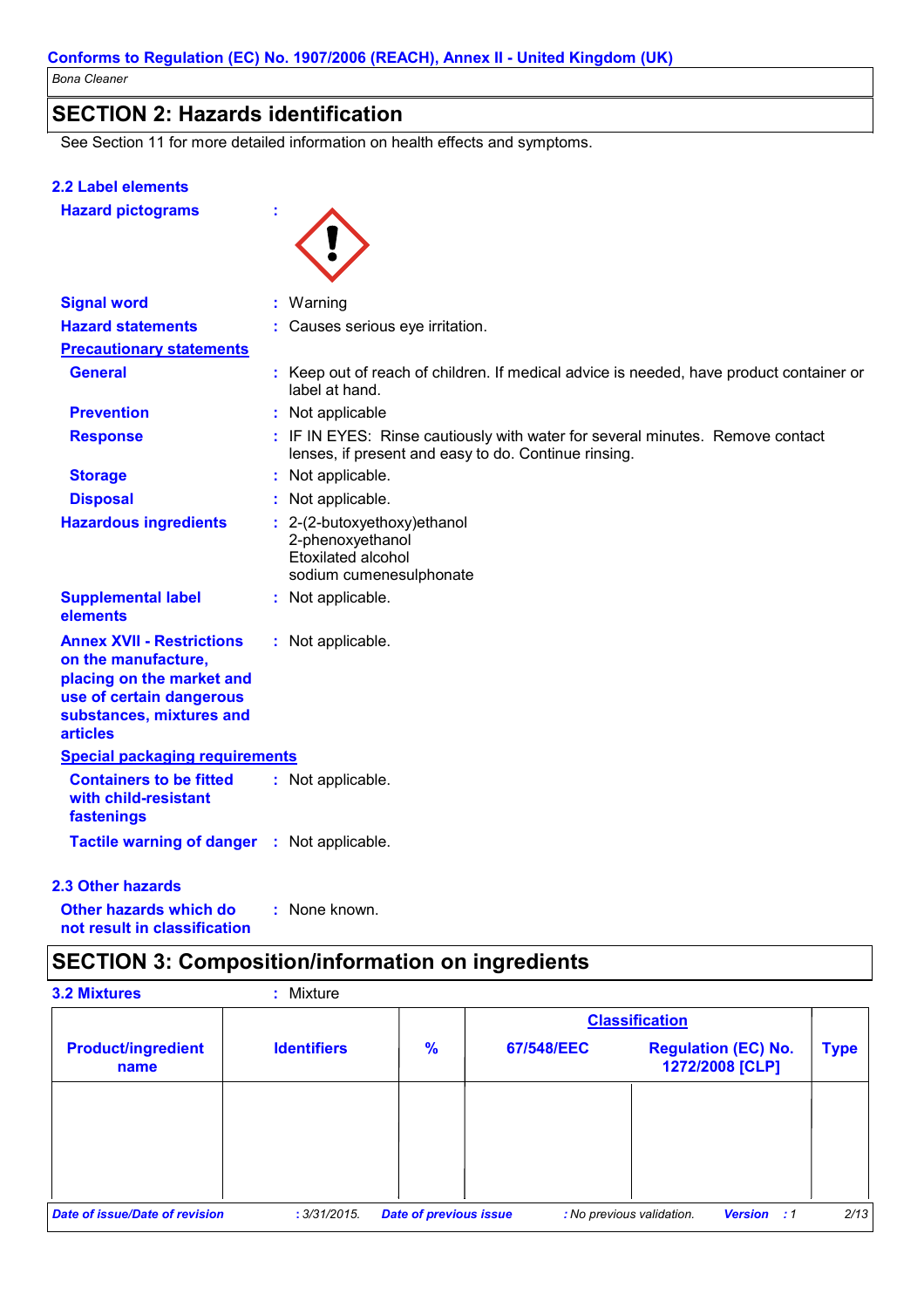### **SECTION 2: Hazards identification**

See Section 11 for more detailed information on health effects and symptoms.

#### **2.2 Label elements**

**Hazard pictograms** 



ł

| <b>Signal word</b>                                                                                                                                              | : Warning                                                                                                                             |
|-----------------------------------------------------------------------------------------------------------------------------------------------------------------|---------------------------------------------------------------------------------------------------------------------------------------|
| <b>Hazard statements</b>                                                                                                                                        | : Causes serious eye irritation.                                                                                                      |
| <b>Precautionary statements</b>                                                                                                                                 |                                                                                                                                       |
| <b>General</b>                                                                                                                                                  | : Keep out of reach of children. If medical advice is needed, have product container or<br>label at hand.                             |
| <b>Prevention</b>                                                                                                                                               | : Not applicable                                                                                                                      |
| <b>Response</b>                                                                                                                                                 | : IF IN EYES: Rinse cautiously with water for several minutes. Remove contact<br>lenses, if present and easy to do. Continue rinsing. |
| <b>Storage</b>                                                                                                                                                  | : Not applicable.                                                                                                                     |
| <b>Disposal</b>                                                                                                                                                 | : Not applicable.                                                                                                                     |
| <b>Hazardous ingredients</b>                                                                                                                                    | $: 2-(2-butoxyethoxy)ethanol$<br>2-phenoxyethanol<br>Etoxilated alcohol<br>sodium cumenesulphonate                                    |
| <b>Supplemental label</b><br>elements                                                                                                                           | : Not applicable.                                                                                                                     |
| <b>Annex XVII - Restrictions</b><br>on the manufacture,<br>placing on the market and<br>use of certain dangerous<br>substances, mixtures and<br><b>articles</b> | : Not applicable.                                                                                                                     |
| <b>Special packaging requirements</b>                                                                                                                           |                                                                                                                                       |
| <b>Containers to be fitted</b><br>with child-resistant<br>fastenings                                                                                            | : Not applicable.                                                                                                                     |
| <b>Tactile warning of danger</b>                                                                                                                                | : Not applicable.                                                                                                                     |

#### 2.3 Other hazards

Other hazards which do : None known. not result in classification

# **SECTION 3: Composition/information on ingredients**

| <b>3.2 Mixtures</b>               | : Mixture          |                               |                       |                                                 |             |
|-----------------------------------|--------------------|-------------------------------|-----------------------|-------------------------------------------------|-------------|
|                                   |                    |                               | <b>Classification</b> |                                                 |             |
| <b>Product/ingredient</b><br>name | <b>Identifiers</b> | $\frac{9}{6}$                 | 67/548/EEC            | <b>Regulation (EC) No.</b><br>1272/2008 [CLP]   | <b>Type</b> |
|                                   |                    |                               |                       |                                                 |             |
|                                   |                    |                               |                       |                                                 |             |
|                                   |                    |                               |                       |                                                 |             |
| Date of issue/Date of revision    | : 3/31/2015.       | <b>Date of previous issue</b> |                       | : No previous validation.<br><b>Version : 1</b> | 2/13        |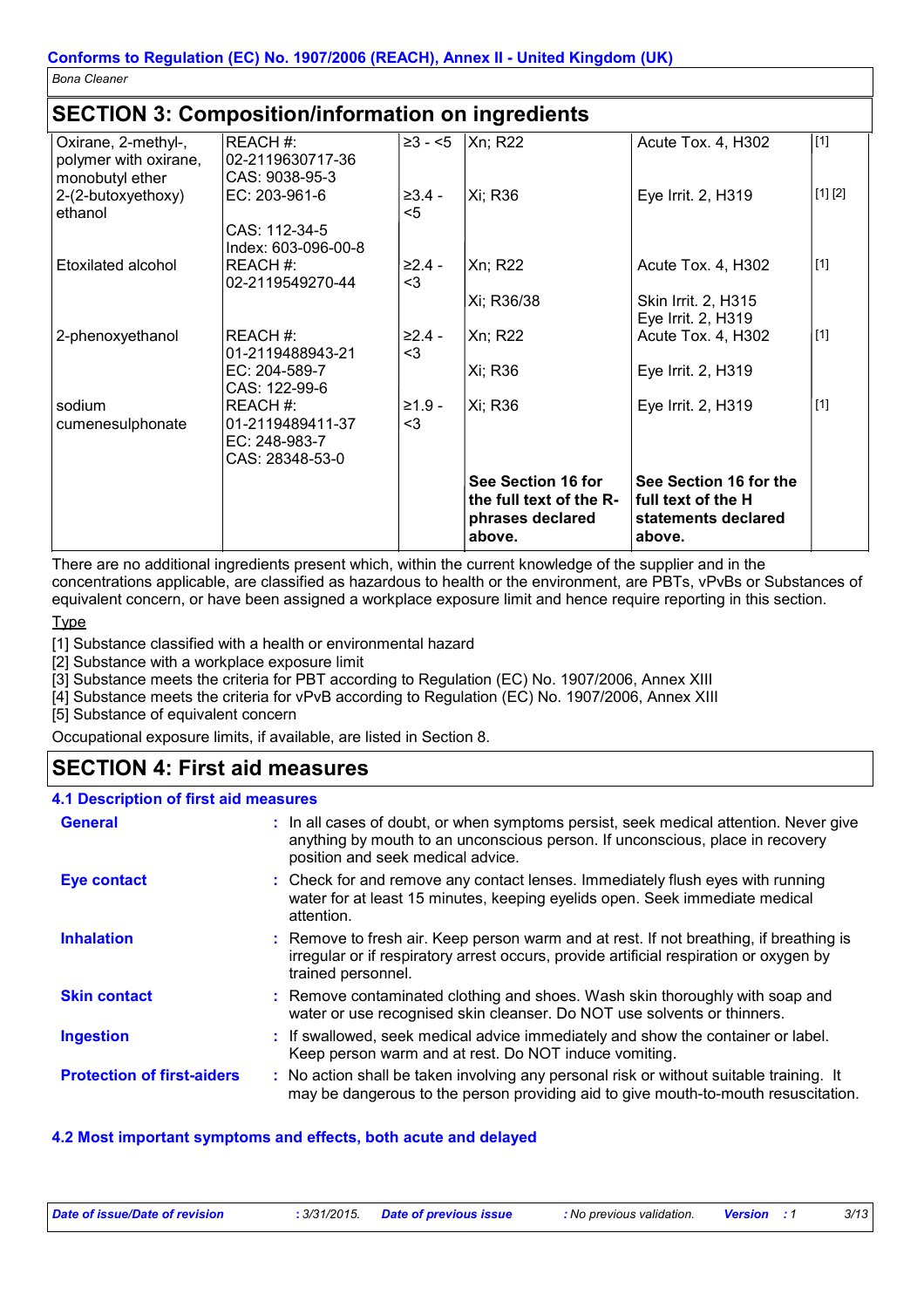# SECTION 3: Composition/information on ingradiants

|                                                                 | 020 HON 0. 001110031610111111011111061011 011 11191 00101160     |                   |                                                                             |                                                                               |         |
|-----------------------------------------------------------------|------------------------------------------------------------------|-------------------|-----------------------------------------------------------------------------|-------------------------------------------------------------------------------|---------|
| Oxirane, 2-methyl-,<br>polymer with oxirane,<br>monobutyl ether | REACH #:<br> 02-2119630717-36<br>CAS: 9038-95-3                  | $\geq 3 - 5$      | Xn; R22                                                                     | Acute Tox. 4, H302                                                            | $[1]$   |
| 2-(2-butoxyethoxy)<br>ethanol                                   | EC: 203-961-6<br>CAS: 112-34-5<br>Index: 603-096-00-8            | $≥3.4-$<br>$5$    | Xi; R36                                                                     | Eye Irrit. 2, H319                                                            | [1] [2] |
| Etoxilated alcohol                                              | REACH #:<br>02-2119549270-44                                     | ≥2.4 -<br>$3$     | Xn; R22                                                                     | Acute Tox. 4, H302                                                            | $[1]$   |
|                                                                 |                                                                  |                   | Xi; R36/38                                                                  | Skin Irrit. 2, H315<br>Eye Irrit. 2, H319                                     |         |
| 2-phenoxyethanol                                                | REACH #:<br>01-2119488943-21                                     | $≥2.4 -$<br>$<$ 3 | Xn; R22                                                                     | Acute Tox. 4, H302                                                            | $[1]$   |
|                                                                 | EC: 204-589-7<br>CAS: 122-99-6                                   |                   | Xi; R36                                                                     | Eye Irrit. 2, H319                                                            |         |
| sodium<br>cumenesulphonate                                      | REACH #:<br>01-2119489411-37<br>EC: 248-983-7<br>CAS: 28348-53-0 | $≥1.9-$<br>$<$ 3  | Xi; R36                                                                     | Eye Irrit. 2, H319                                                            | $[1]$   |
|                                                                 |                                                                  |                   | See Section 16 for<br>the full text of the R-<br>phrases declared<br>above. | See Section 16 for the<br>full text of the H<br>statements declared<br>above. |         |

There are no additional ingredients present which, within the current knowledge of the supplier and in the concentrations applicable, are classified as hazardous to health or the environment, are PBTs, vPvBs or Substances of equivalent concern, or have been assigned a workplace exposure limit and hence require reporting in this section.

Type

[1] Substance classified with a health or environmental hazard

[2] Substance with a workplace exposure limit

[3] Substance meets the criteria for PBT according to Regulation (EC) No. 1907/2006, Annex XIII

[4] Substance meets the criteria for vPvB according to Regulation (EC) No. 1907/2006, Annex XIII

[5] Substance of equivalent concern

Occupational exposure limits, if available, are listed in Section 8.

### **SECTION 4: First aid measures**

#### **4.1 Description of first aid measures**

| <b>General</b>                    | : In all cases of doubt, or when symptoms persist, seek medical attention. Never give<br>anything by mouth to an unconscious person. If unconscious, place in recovery<br>position and seek medical advice. |
|-----------------------------------|-------------------------------------------------------------------------------------------------------------------------------------------------------------------------------------------------------------|
| Eye contact                       | : Check for and remove any contact lenses. Immediately flush eyes with running<br>water for at least 15 minutes, keeping eyelids open. Seek immediate medical<br>attention.                                 |
| <b>Inhalation</b>                 | : Remove to fresh air. Keep person warm and at rest. If not breathing, if breathing is<br>irregular or if respiratory arrest occurs, provide artificial respiration or oxygen by<br>trained personnel.      |
| <b>Skin contact</b>               | : Remove contaminated clothing and shoes. Wash skin thoroughly with soap and<br>water or use recognised skin cleanser. Do NOT use solvents or thinners.                                                     |
| <b>Ingestion</b>                  | : If swallowed, seek medical advice immediately and show the container or label.<br>Keep person warm and at rest. Do NOT induce vomiting.                                                                   |
| <b>Protection of first-aiders</b> | : No action shall be taken involving any personal risk or without suitable training. It<br>may be dangerous to the person providing aid to give mouth-to-mouth resuscitation.                               |

#### 4.2 Most important symptoms and effects, both acute and delayed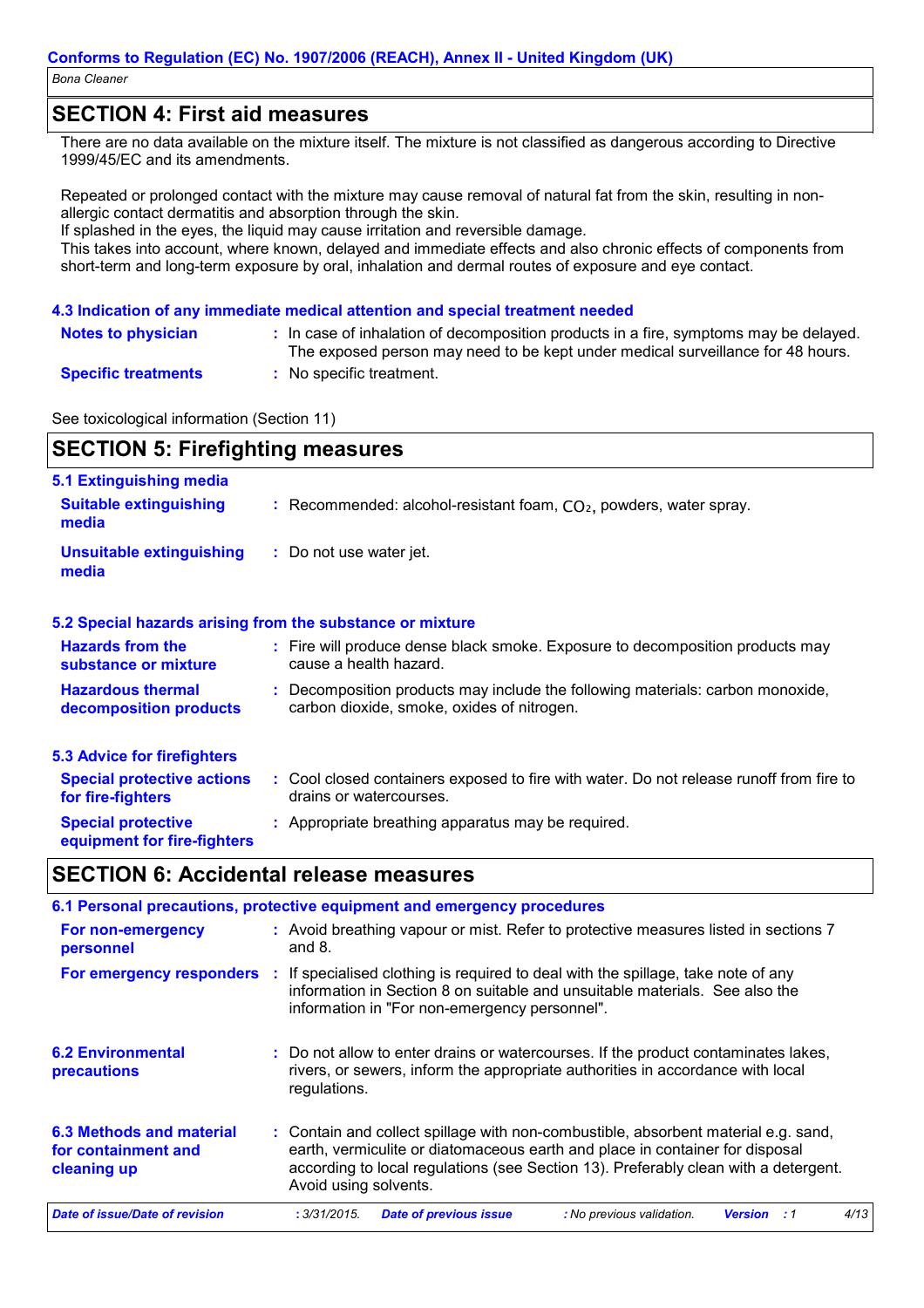### **SECTION 4: First aid measures**

There are no data available on the mixture itself. The mixture is not classified as dangerous according to Directive 1999/45/EC and its amendments.

Repeated or prolonged contact with the mixture may cause removal of natural fat from the skin, resulting in nonallergic contact dermatitis and absorption through the skin.

If splashed in the eyes, the liquid may cause irritation and reversible damage.

This takes into account, where known, delayed and immediate effects and also chronic effects of components from short-term and long-term exposure by oral, inhalation and dermal routes of exposure and eye contact.

#### 4.3 Indication of any immediate medical attention and special treatment needed

| Notes to physician         | In case of inhalation of decomposition products in a fire, symptoms may be delayed.<br>The exposed person may need to be kept under medical surveillance for 48 hours. |
|----------------------------|------------------------------------------------------------------------------------------------------------------------------------------------------------------------|
| <b>Specific treatments</b> | No specific treatment.                                                                                                                                                 |

### See toxicological information (Section 11)

# **SECTION 5: Firefighting measures**

| 5.1 Extinguishing media                                   |                                                                                                                              |
|-----------------------------------------------------------|------------------------------------------------------------------------------------------------------------------------------|
| <b>Suitable extinguishing</b><br>media                    | : Recommended: alcohol-resistant foam, $CO2$ , powders, water spray.                                                         |
| <b>Unsuitable extinguishing</b><br>media                  | : Do not use water jet.                                                                                                      |
| 5.2 Special hazards arising from the substance or mixture |                                                                                                                              |
| <b>Hazards from the</b><br>substance or mixture           | : Fire will produce dense black smoke. Exposure to decomposition products may<br>cause a health hazard.                      |
| <b>Hazardous thermal</b><br>decomposition products        | : Decomposition products may include the following materials: carbon monoxide,<br>carbon dioxide, smoke, oxides of nitrogen. |
| <b>5.3 Advice for firefighters</b>                        |                                                                                                                              |
| <b>Special protective actions</b><br>for fire-fighters    | : Cool closed containers exposed to fire with water. Do not release runoff from fire to<br>drains or watercourses.           |
| <b>Special protective</b><br>equipment for fire-fighters  | : Appropriate breathing apparatus may be required.                                                                           |

### **SECTION 6: Accidental release measures**

|                                                                | 6.1 Personal precautions, protective equipment and emergency procedures                                                                                                                                                                                                            |  |  |  |
|----------------------------------------------------------------|------------------------------------------------------------------------------------------------------------------------------------------------------------------------------------------------------------------------------------------------------------------------------------|--|--|--|
| For non-emergency<br>personnel                                 | : Avoid breathing vapour or mist. Refer to protective measures listed in sections 7<br>and $8.$                                                                                                                                                                                    |  |  |  |
| For emergency responders :                                     | If specialised clothing is required to deal with the spillage, take note of any<br>information in Section 8 on suitable and unsuitable materials. See also the<br>information in "For non-emergency personnel".                                                                    |  |  |  |
| <b>6.2 Environmental</b><br>precautions                        | : Do not allow to enter drains or watercourses. If the product contaminates lakes,<br>rivers, or sewers, inform the appropriate authorities in accordance with local<br>regulations.                                                                                               |  |  |  |
| 6.3 Methods and material<br>for containment and<br>cleaning up | : Contain and collect spillage with non-combustible, absorbent material e.g. sand,<br>earth, vermiculite or diatomaceous earth and place in container for disposal<br>according to local regulations (see Section 13). Preferably clean with a detergent.<br>Avoid using solvents. |  |  |  |
| Date of issue/Date of revision                                 | 4/13<br>: 3/31/2015.<br><b>Date of previous issue</b><br>: No previous validation.<br><b>Version</b><br>: 1                                                                                                                                                                        |  |  |  |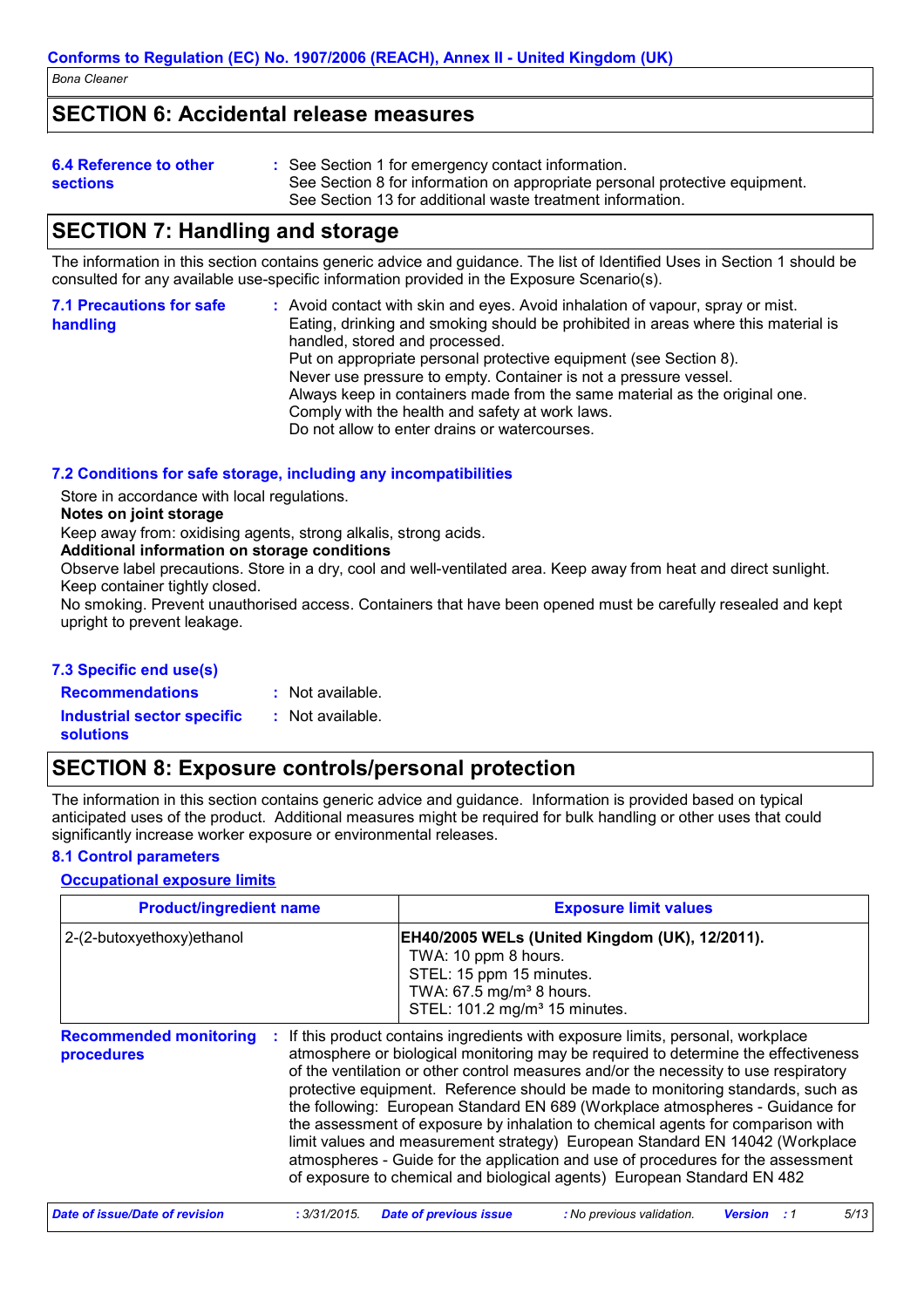# **SECTION 6: Accidental release measures**

| 6.4 Reference to other<br>sections | : See Section 1 for emergency contact information.<br>See Section 8 for information on appropriate personal protective equipment.<br>See Section 13 for additional waste treatment information. |
|------------------------------------|-------------------------------------------------------------------------------------------------------------------------------------------------------------------------------------------------|
|                                    |                                                                                                                                                                                                 |

# **SECTION 7: Handling and storage**

The information in this section contains generic advice and guidance. The list of Identified Uses in Section 1 should be consulted for any available use-specific information provided in the Exposure Scenario(s).

| <b>7.1 Precautions for safe</b><br>handling | : Avoid contact with skin and eyes. Avoid inhalation of vapour, spray or mist.<br>Eating, drinking and smoking should be prohibited in areas where this material is<br>handled, stored and processed.<br>Put on appropriate personal protective equipment (see Section 8).<br>Never use pressure to empty. Container is not a pressure vessel.<br>Always keep in containers made from the same material as the original one. |
|---------------------------------------------|------------------------------------------------------------------------------------------------------------------------------------------------------------------------------------------------------------------------------------------------------------------------------------------------------------------------------------------------------------------------------------------------------------------------------|
|                                             | Comply with the health and safety at work laws.<br>Do not allow to enter drains or watercourses.                                                                                                                                                                                                                                                                                                                             |

#### 7.2 Conditions for safe storage, including any incompatibilities

Store in accordance with local requlations.

#### Notes on joint storage

Keep away from: oxidising agents, strong alkalis, strong acids.

#### Additional information on storage conditions

Observe label precautions. Store in a dry, cool and well-ventilated area. Keep away from heat and direct sunlight. Keep container tightly closed.

No smoking. Prevent unauthorised access. Containers that have been opened must be carefully resealed and kept upright to prevent leakage.

#### 7.3 Specific end use(s)

**Recommendations** 

: Not available. : Not available.

**Industrial sector specific solutions** 

# **SECTION 8: Exposure controls/personal protection**

The information in this section contains generic advice and guidance. Information is provided based on typical anticipated uses of the product. Additional measures might be required for bulk handling or other uses that could significantly increase worker exposure or environmental releases.

#### **8.1 Control parameters**

#### **Occupational exposure limits**

| <b>Product/ingredient name</b>              |              | <b>Exposure limit values</b>                                                                                                          |                                                                                                                                                                                                                                                                                                                                                                                                                                                                                                                                                                                                                                                                                                                                                                    |                              |
|---------------------------------------------|--------------|---------------------------------------------------------------------------------------------------------------------------------------|--------------------------------------------------------------------------------------------------------------------------------------------------------------------------------------------------------------------------------------------------------------------------------------------------------------------------------------------------------------------------------------------------------------------------------------------------------------------------------------------------------------------------------------------------------------------------------------------------------------------------------------------------------------------------------------------------------------------------------------------------------------------|------------------------------|
| 2-(2-butoxyethoxy) ethanol                  |              | TWA: 10 ppm 8 hours.<br>STEL: 15 ppm 15 minutes.<br>TWA: 67.5 mg/m <sup>3</sup> 8 hours.<br>STEL: 101.2 mg/m <sup>3</sup> 15 minutes. | EH40/2005 WELs (United Kingdom (UK), 12/2011).                                                                                                                                                                                                                                                                                                                                                                                                                                                                                                                                                                                                                                                                                                                     |                              |
| <b>Recommended monitoring</b><br>procedures | ÷            |                                                                                                                                       | If this product contains ingredients with exposure limits, personal, workplace<br>atmosphere or biological monitoring may be required to determine the effectiveness<br>of the ventilation or other control measures and/or the necessity to use respiratory<br>protective equipment. Reference should be made to monitoring standards, such as<br>the following: European Standard EN 689 (Workplace atmospheres - Guidance for<br>the assessment of exposure by inhalation to chemical agents for comparison with<br>limit values and measurement strategy) European Standard EN 14042 (Workplace<br>atmospheres - Guide for the application and use of procedures for the assessment<br>of exposure to chemical and biological agents) European Standard EN 482 |                              |
| Date of issue/Date of revision              | : 3/31/2015. | <b>Date of previous issue</b>                                                                                                         | : No previous validation.                                                                                                                                                                                                                                                                                                                                                                                                                                                                                                                                                                                                                                                                                                                                          | 5/13<br><b>Version</b><br>:1 |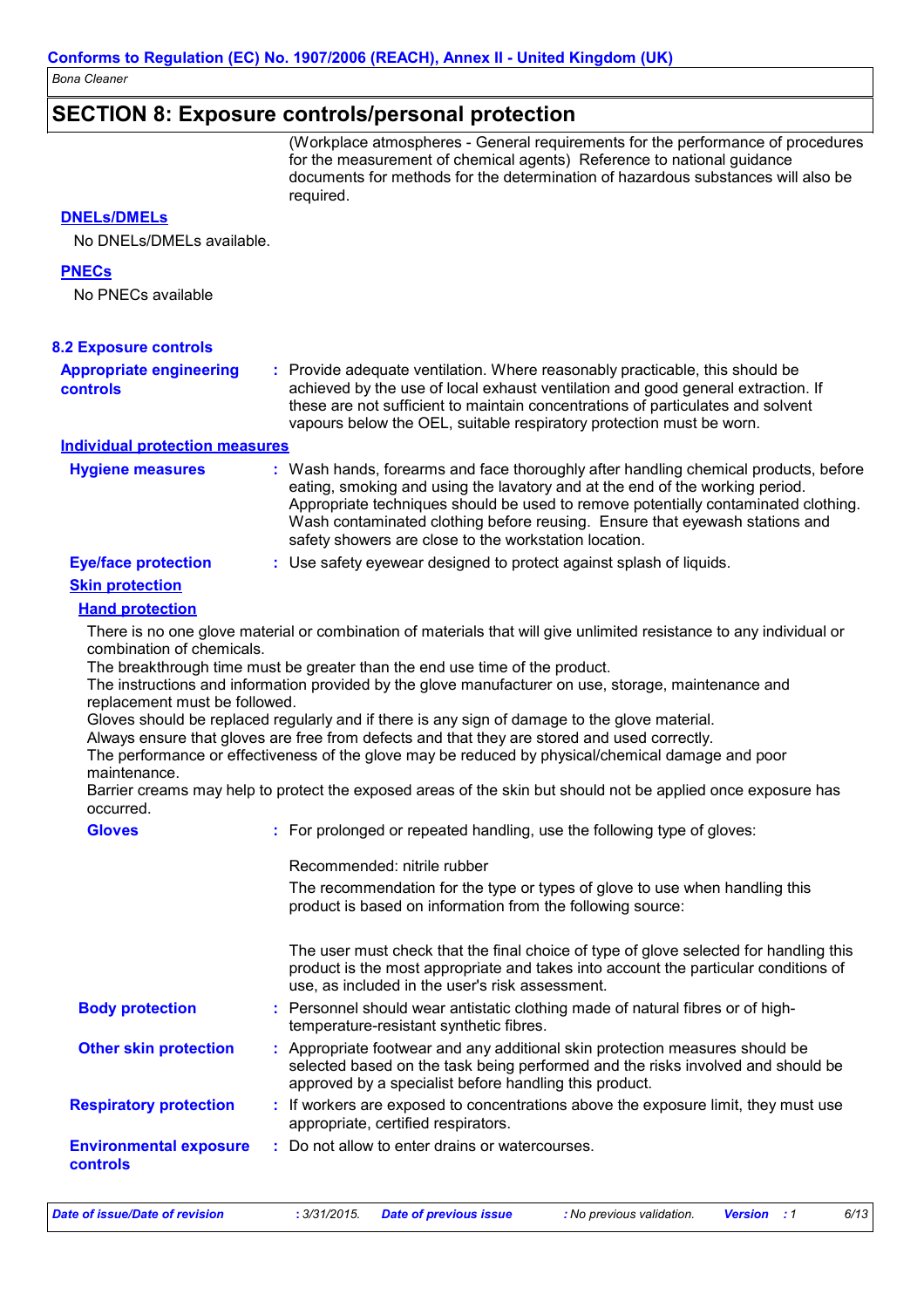### **SECTION 8: Exposure controls/personal protection**

(Workplace atmospheres - General requirements for the performance of procedures for the measurement of chemical agents) Reference to national guidance documents for methods for the determination of hazardous substances will also be required.

#### **DNELs/DMELs**

No DNELs/DMELs available.

#### **PNECs**

No PNECs available

| <b>8.2 Exposure controls</b>                                                                             |                                                                                                                                                                                                                                                                                                                                                                                                                                                                                                                                                                                                                                                                                                                                                                                                                                            |
|----------------------------------------------------------------------------------------------------------|--------------------------------------------------------------------------------------------------------------------------------------------------------------------------------------------------------------------------------------------------------------------------------------------------------------------------------------------------------------------------------------------------------------------------------------------------------------------------------------------------------------------------------------------------------------------------------------------------------------------------------------------------------------------------------------------------------------------------------------------------------------------------------------------------------------------------------------------|
| <b>Appropriate engineering</b><br>controls                                                               | : Provide adequate ventilation. Where reasonably practicable, this should be<br>achieved by the use of local exhaust ventilation and good general extraction. If<br>these are not sufficient to maintain concentrations of particulates and solvent<br>vapours below the OEL, suitable respiratory protection must be worn.                                                                                                                                                                                                                                                                                                                                                                                                                                                                                                                |
| <b>Individual protection measures</b>                                                                    |                                                                                                                                                                                                                                                                                                                                                                                                                                                                                                                                                                                                                                                                                                                                                                                                                                            |
| <b>Hygiene measures</b>                                                                                  | : Wash hands, forearms and face thoroughly after handling chemical products, before<br>eating, smoking and using the lavatory and at the end of the working period.<br>Appropriate techniques should be used to remove potentially contaminated clothing.<br>Wash contaminated clothing before reusing. Ensure that eyewash stations and<br>safety showers are close to the workstation location.                                                                                                                                                                                                                                                                                                                                                                                                                                          |
| <b>Eye/face protection</b>                                                                               | : Use safety eyewear designed to protect against splash of liquids.                                                                                                                                                                                                                                                                                                                                                                                                                                                                                                                                                                                                                                                                                                                                                                        |
| <b>Skin protection</b>                                                                                   |                                                                                                                                                                                                                                                                                                                                                                                                                                                                                                                                                                                                                                                                                                                                                                                                                                            |
| <b>Hand protection</b>                                                                                   |                                                                                                                                                                                                                                                                                                                                                                                                                                                                                                                                                                                                                                                                                                                                                                                                                                            |
| combination of chemicals.<br>replacement must be followed.<br>maintenance.<br>occurred.<br><b>Gloves</b> | There is no one glove material or combination of materials that will give unlimited resistance to any individual or<br>The breakthrough time must be greater than the end use time of the product.<br>The instructions and information provided by the glove manufacturer on use, storage, maintenance and<br>Gloves should be replaced regularly and if there is any sign of damage to the glove material.<br>Always ensure that gloves are free from defects and that they are stored and used correctly.<br>The performance or effectiveness of the glove may be reduced by physical/chemical damage and poor<br>Barrier creams may help to protect the exposed areas of the skin but should not be applied once exposure has<br>: For prolonged or repeated handling, use the following type of gloves:<br>Recommended: nitrile rubber |
|                                                                                                          | The recommendation for the type or types of glove to use when handling this<br>product is based on information from the following source:<br>The user must check that the final choice of type of glove selected for handling this<br>product is the most appropriate and takes into account the particular conditions of<br>use, as included in the user's risk assessment.                                                                                                                                                                                                                                                                                                                                                                                                                                                               |
| <b>Body protection</b>                                                                                   | : Personnel should wear antistatic clothing made of natural fibres or of high-<br>temperature-resistant synthetic fibres.                                                                                                                                                                                                                                                                                                                                                                                                                                                                                                                                                                                                                                                                                                                  |
| <b>Other skin protection</b>                                                                             | : Appropriate footwear and any additional skin protection measures should be<br>selected based on the task being performed and the risks involved and should be<br>approved by a specialist before handling this product.                                                                                                                                                                                                                                                                                                                                                                                                                                                                                                                                                                                                                  |
| <b>Respiratory protection</b>                                                                            | : If workers are exposed to concentrations above the exposure limit, they must use<br>appropriate, certified respirators.                                                                                                                                                                                                                                                                                                                                                                                                                                                                                                                                                                                                                                                                                                                  |
| <b>Environmental exposure</b><br>controls                                                                | : Do not allow to enter drains or watercourses.                                                                                                                                                                                                                                                                                                                                                                                                                                                                                                                                                                                                                                                                                                                                                                                            |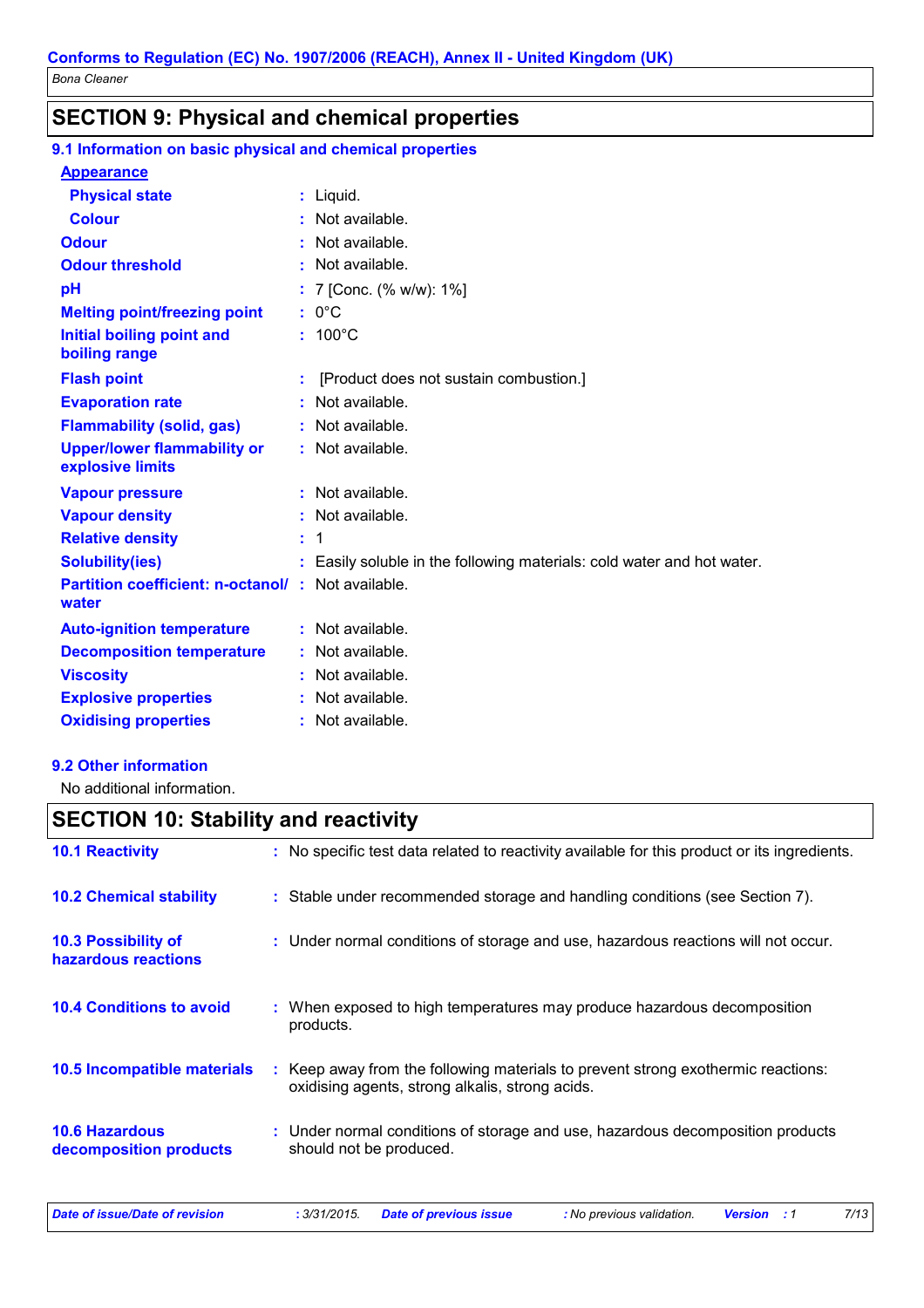# **SECTION 9: Physical and chemical properties**

### 9.1 Information on basic physical and chemical properties

#### **Appearance**

| <b>Physical state</b>                                  |    | $:$ Liquid.                                                          |
|--------------------------------------------------------|----|----------------------------------------------------------------------|
| <b>Colour</b>                                          |    | Not available.                                                       |
| <b>Odour</b>                                           |    | Not available.                                                       |
| <b>Odour threshold</b>                                 |    | : Not available.                                                     |
| pH                                                     |    | 7 [Conc. (% w/w): 1%]                                                |
| <b>Melting point/freezing point</b>                    |    | $: 0^{\circ}C$                                                       |
| Initial boiling point and<br>boiling range             |    | $: 100^{\circ}$ C                                                    |
| <b>Flash point</b>                                     |    | [Product does not sustain combustion.]                               |
| <b>Evaporation rate</b>                                |    | Not available.                                                       |
| <b>Flammability (solid, gas)</b>                       |    | Not available.                                                       |
| <b>Upper/lower flammability or</b><br>explosive limits |    | : Not available.                                                     |
| <b>Vapour pressure</b>                                 |    | Not available.                                                       |
| <b>Vapour density</b>                                  |    | Not available.                                                       |
| <b>Relative density</b>                                | ÷. | $\mathbf 1$                                                          |
| <b>Solubility(ies)</b>                                 |    | Easily soluble in the following materials: cold water and hot water. |
| <b>Partition coefficient: n-octanol/</b><br>water      |    | Not available.                                                       |
| <b>Auto-ignition temperature</b>                       |    | $:$ Not available.                                                   |
| <b>Decomposition temperature</b>                       |    | Not available.                                                       |
| <b>Viscosity</b>                                       |    | Not available.                                                       |
| <b>Explosive properties</b>                            |    | Not available.                                                       |
| <b>Oxidising properties</b>                            |    | : Not available.                                                     |

#### 9.2 Other information

No additional information.

# **SECTION 10: Stability and reactivity**

| <b>10.1 Reactivity</b>                            | : No specific test data related to reactivity available for this product or its ingredients.                                        |  |
|---------------------------------------------------|-------------------------------------------------------------------------------------------------------------------------------------|--|
| <b>10.2 Chemical stability</b>                    | : Stable under recommended storage and handling conditions (see Section 7).                                                         |  |
| <b>10.3 Possibility of</b><br>hazardous reactions | : Under normal conditions of storage and use, hazardous reactions will not occur.                                                   |  |
| <b>10.4 Conditions to avoid</b>                   | : When exposed to high temperatures may produce hazardous decomposition<br>products.                                                |  |
| <b>10.5 Incompatible materials</b>                | : Keep away from the following materials to prevent strong exothermic reactions:<br>oxidising agents, strong alkalis, strong acids. |  |
| <b>10.6 Hazardous</b><br>decomposition products   | : Under normal conditions of storage and use, hazardous decomposition products<br>should not be produced.                           |  |
| Date of issue/Date of revision                    | 7/13<br>: 3/31/2015.<br><b>Date of previous issue</b><br>: No previous validation.<br><b>Version</b><br>: 1                         |  |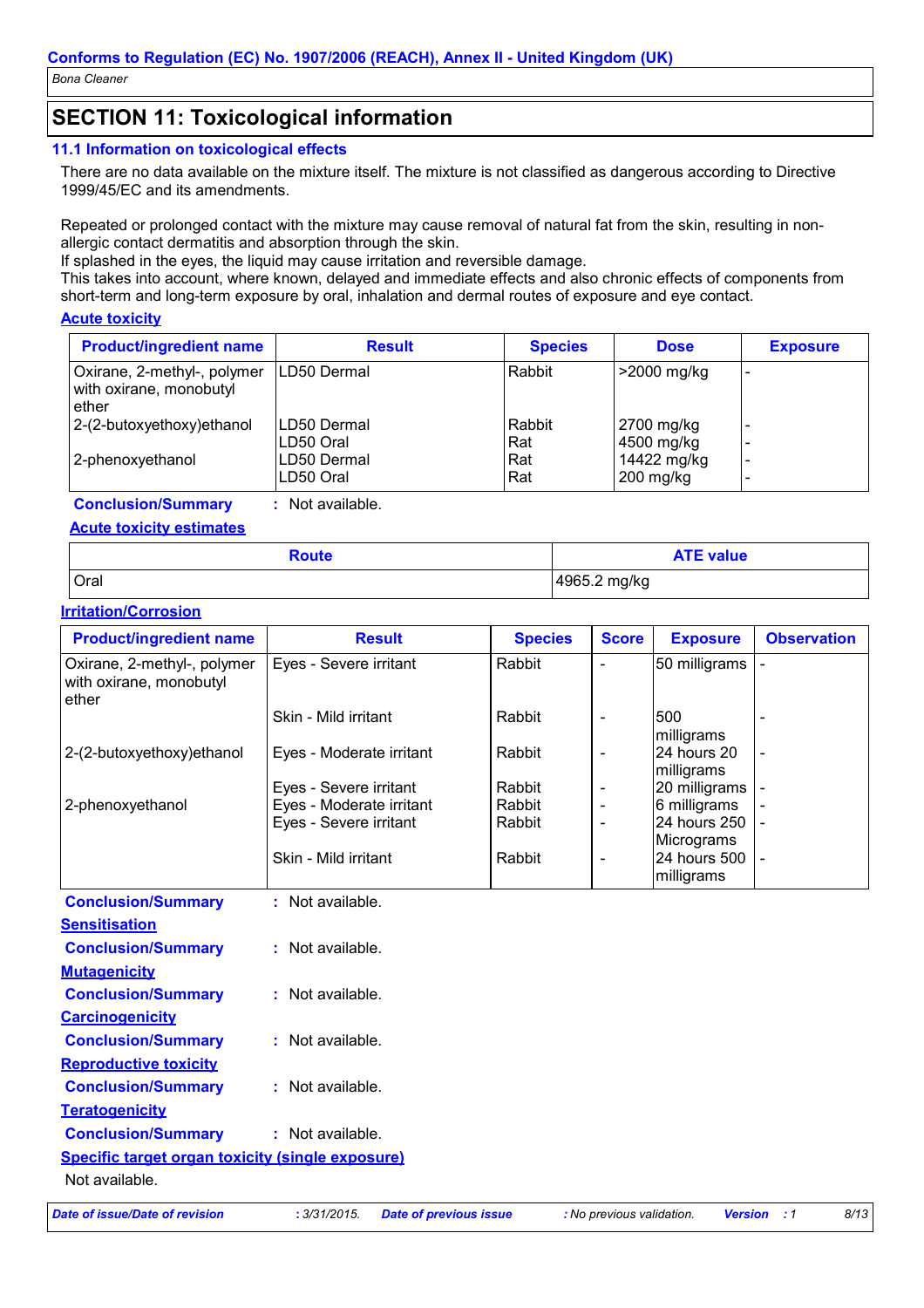# **SECTION 11: Toxicological information**

#### 11.1 Information on toxicological effects

There are no data available on the mixture itself. The mixture is not classified as dangerous according to Directive 1999/45/EC and its amendments.

Repeated or prolonged contact with the mixture may cause removal of natural fat from the skin, resulting in nonallergic contact dermatitis and absorption through the skin.

If splashed in the eyes, the liquid may cause irritation and reversible damage.

This takes into account, where known, delayed and immediate effects and also chronic effects of components from short-term and long-term exposure by oral, inhalation and dermal routes of exposure and eye contact.

#### **Acute toxicity**

| <b>Product/ingredient name</b>                                  | <b>Result</b>            | <b>Species</b> | <b>Dose</b>                | <b>Exposure</b> |
|-----------------------------------------------------------------|--------------------------|----------------|----------------------------|-----------------|
| Oxirane, 2-methyl-, polymer<br>with oxirane, monobutyl<br>ether | LD50 Dermal              | Rabbit         | >2000 mg/kg                |                 |
| 2-(2-butoxyethoxy)ethanol                                       | LD50 Dermal<br>LD50 Oral | Rabbit<br>Rat  | 2700 mg/kg<br>4500 mg/kg   |                 |
| 2-phenoxyethanol                                                | LD50 Dermal<br>LD50 Oral | Rat<br>Rat     | 14422 mg/kg<br>$200$ mg/kg |                 |

: Not available. **Conclusion/Summary** 

#### **Acute toxicity estimates**

| Route | <b>ATE value</b> |
|-------|------------------|
| Oral  | 4965.2 mg/kg     |

#### **Irritation/Corrosion**

| <b>Product/ingredient name</b>                                  | <b>Result</b>                                 | <b>Species</b> | <b>Score</b>              | <b>Exposure</b>            | <b>Observation</b> |
|-----------------------------------------------------------------|-----------------------------------------------|----------------|---------------------------|----------------------------|--------------------|
| Oxirane, 2-methyl-, polymer<br>with oxirane, monobutyl<br>ether | Eyes - Severe irritant                        | Rabbit         | $\overline{a}$            | 50 milligrams              |                    |
|                                                                 | Skin - Mild irritant                          | Rabbit         |                           | 500                        |                    |
| 2-(2-butoxyethoxy)ethanol                                       | Eyes - Moderate irritant                      | Rabbit         | $\blacksquare$            | milligrams<br>24 hours 20  |                    |
|                                                                 |                                               |                |                           | milligrams                 |                    |
|                                                                 | Eyes - Severe irritant                        | Rabbit         | $\overline{\phantom{a}}$  | 20 milligrams              |                    |
| 2-phenoxyethanol                                                | Eyes - Moderate irritant                      | Rabbit         |                           | 6 milligrams               |                    |
|                                                                 | Eyes - Severe irritant                        | Rabbit         | $\overline{\phantom{a}}$  | 24 hours 250               |                    |
|                                                                 | Skin - Mild irritant                          |                |                           | Micrograms<br>24 hours 500 |                    |
|                                                                 |                                               | Rabbit         | $\overline{\phantom{a}}$  | milligrams                 |                    |
| <b>Conclusion/Summary</b>                                       | : Not available.                              |                |                           |                            |                    |
| <b>Sensitisation</b>                                            |                                               |                |                           |                            |                    |
| <b>Conclusion/Summary</b>                                       | : Not available.                              |                |                           |                            |                    |
| <b>Mutagenicity</b>                                             |                                               |                |                           |                            |                    |
| <b>Conclusion/Summary</b>                                       | : Not available.                              |                |                           |                            |                    |
| <b>Carcinogenicity</b>                                          |                                               |                |                           |                            |                    |
| <b>Conclusion/Summary</b>                                       | : Not available.                              |                |                           |                            |                    |
| <b>Reproductive toxicity</b>                                    |                                               |                |                           |                            |                    |
| <b>Conclusion/Summary</b>                                       | : Not available.                              |                |                           |                            |                    |
| <b>Teratogenicity</b>                                           |                                               |                |                           |                            |                    |
| <b>Conclusion/Summary</b>                                       | : Not available.                              |                |                           |                            |                    |
| <b>Specific target organ toxicity (single exposure)</b>         |                                               |                |                           |                            |                    |
| Not available.                                                  |                                               |                |                           |                            |                    |
| <b>Date of issue/Date of revision</b>                           | : 3/31/2015.<br><b>Date of previous issue</b> |                | : No previous validation. | <b>Version</b>             | 8/13<br>$\cdot$ :1 |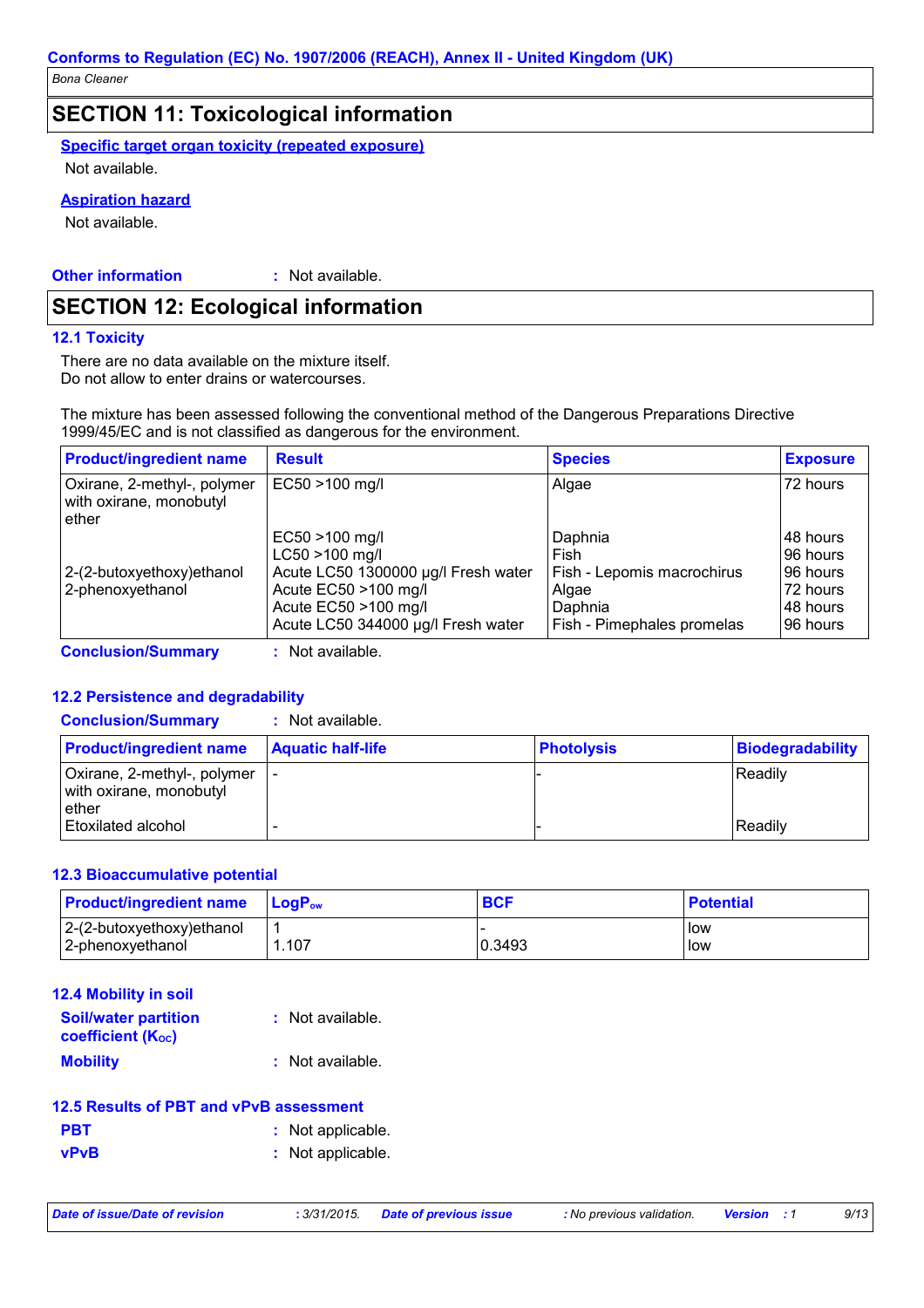### **SECTION 11: Toxicological information**

**Specific target organ toxicity (repeated exposure)** 

Not available.

#### **Aspiration hazard**

Not available.

**Other information** : Not available.

# **SECTION 12: Ecological information**

#### **12.1 Toxicity**

There are no data available on the mixture itself. Do not allow to enter drains or watercourses.

The mixture has been assessed following the conventional method of the Dangerous Preparations Directive 1999/45/EC and is not classified as dangerous for the environment.

| <b>Product/ingredient name</b>                                  | <b>Result</b>                                                                                                                                                       | <b>Species</b>                                                                                  | <b>Exposure</b>                                                         |
|-----------------------------------------------------------------|---------------------------------------------------------------------------------------------------------------------------------------------------------------------|-------------------------------------------------------------------------------------------------|-------------------------------------------------------------------------|
| Oxirane, 2-methyl-, polymer<br>with oxirane, monobutyl<br>ether | EC50 >100 mg/l                                                                                                                                                      | Algae                                                                                           | 72 hours                                                                |
| 2-(2-butoxyethoxy) ethanol<br>2-phenoxyethanol                  | $EC50 > 100$ mg/l<br>$LC50 > 100$ mg/l<br>Acute LC50 1300000 µg/l Fresh water<br>Acute EC50 >100 mg/l<br>Acute EC50 >100 mg/l<br>Acute LC50 344000 µg/l Fresh water | Daphnia<br>Fish<br>Fish - Lepomis macrochirus<br>Algae<br>Daphnia<br>Fish - Pimephales promelas | 148 hours<br>96 hours<br>96 hours<br>72 hours<br>148 hours<br>196 hours |
| <b>Conclusion/Summary</b>                                       | : Not available.                                                                                                                                                    |                                                                                                 |                                                                         |

#### **12.2 Persistence and degradability**

| <b>Conclusion/Summary</b> | Not available. |
|---------------------------|----------------|
|                           |                |

| <b>Product/ingredient name</b>                                      | <b>Aquatic half-life</b> | <b>Photolysis</b> | Biodegradability |
|---------------------------------------------------------------------|--------------------------|-------------------|------------------|
| Oxirane, 2-methyl-, polymer   -<br>with oxirane, monobutyl<br>ether |                          |                   | l Readilv        |
| <b>Etoxilated alcohol</b>                                           |                          |                   | Readily          |

#### **12.3 Bioaccumulative potential**

| <b>Product/ingredient name</b> | <b>LogP</b> <sub>ow</sub> | <b>BCF</b> | <b>Potential</b> |
|--------------------------------|---------------------------|------------|------------------|
| $ 2-(2-butoxyethoxy)ethanol$   |                           |            | <b>I</b> low     |
| 2-phenoxyethanol               | .107                      | 0.3493     | llow             |

| <b>12.4 Mobility in soil</b>                            |                  |
|---------------------------------------------------------|------------------|
| <b>Soil/water partition</b><br><b>coefficient (Koc)</b> | : Not available. |
| <b>Mobility</b>                                         | : Not available. |

| 12.5 Results of PBT and vPvB assessment |                  |  |  |  |
|-----------------------------------------|------------------|--|--|--|
| <b>PBT</b>                              | : Not applicable |  |  |  |
| <b>vPvB</b>                             | : Not applicable |  |  |  |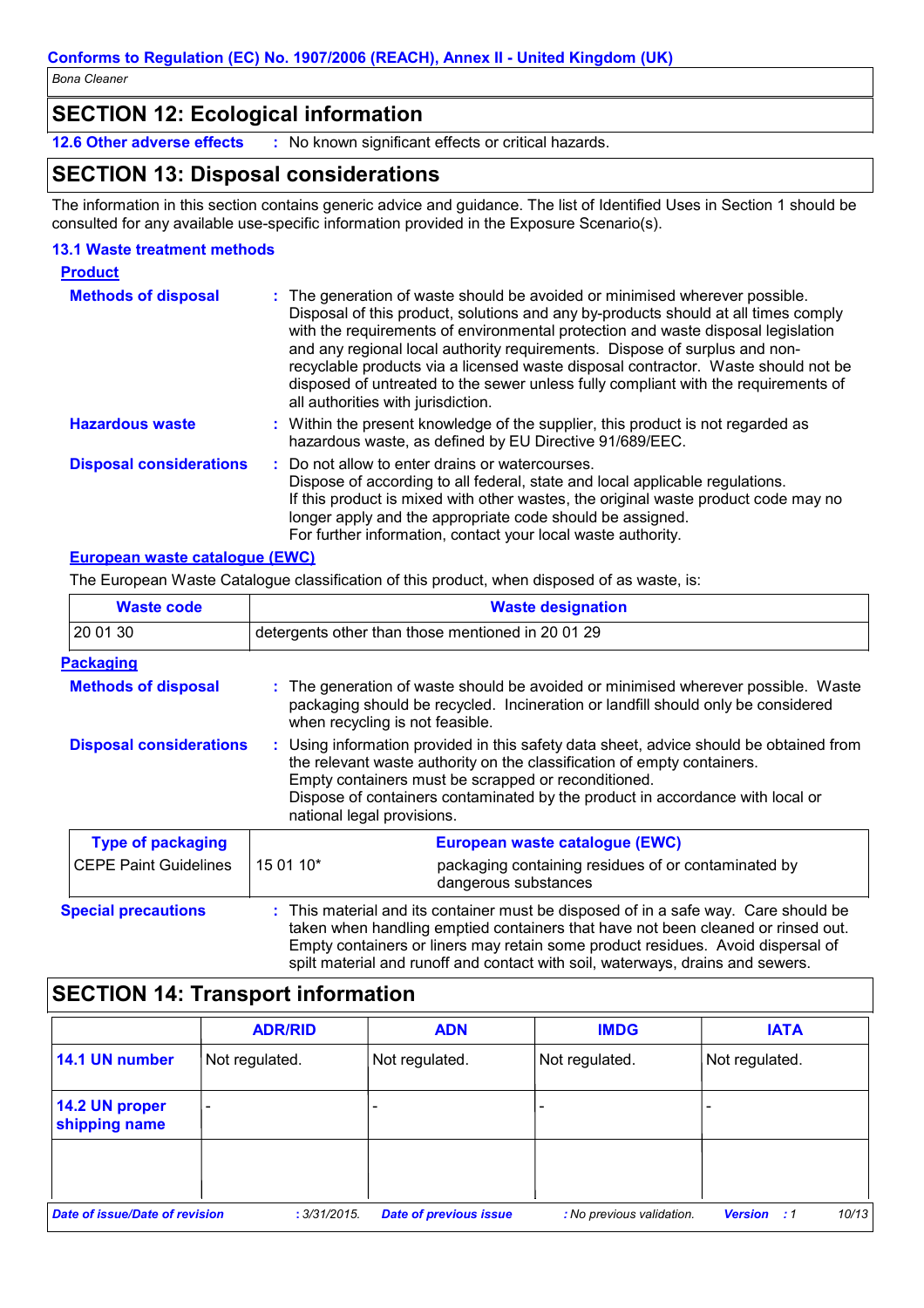## **SECTION 12: Ecological information**

12.6 Other adverse effects : No known significant effects or critical hazards.

# **SECTION 13: Disposal considerations**

The information in this section contains generic advice and guidance. The list of Identified Uses in Section 1 should be consulted for any available use-specific information provided in the Exposure Scenario(s).

#### **13.1 Waste treatment methods**

| <b>Product</b>                 |                                                                                                                                                                                                                                                                                                                                                                                                                                                                                                                                                      |
|--------------------------------|------------------------------------------------------------------------------------------------------------------------------------------------------------------------------------------------------------------------------------------------------------------------------------------------------------------------------------------------------------------------------------------------------------------------------------------------------------------------------------------------------------------------------------------------------|
| <b>Methods of disposal</b>     | : The generation of waste should be avoided or minimised wherever possible.<br>Disposal of this product, solutions and any by-products should at all times comply<br>with the requirements of environmental protection and waste disposal legislation<br>and any regional local authority requirements. Dispose of surplus and non-<br>recyclable products via a licensed waste disposal contractor. Waste should not be<br>disposed of untreated to the sewer unless fully compliant with the requirements of<br>all authorities with jurisdiction. |
| <b>Hazardous waste</b>         | : Within the present knowledge of the supplier, this product is not regarded as<br>hazardous waste, as defined by EU Directive 91/689/EEC.                                                                                                                                                                                                                                                                                                                                                                                                           |
| <b>Disposal considerations</b> | : Do not allow to enter drains or watercourses.<br>Dispose of according to all federal, state and local applicable regulations.<br>If this product is mixed with other wastes, the original waste product code may no<br>longer apply and the appropriate code should be assigned.<br>For further information, contact your local waste authority.                                                                                                                                                                                                   |

#### European waste cataloque (EWC)

The European Waste Catalogue classification of this product, when disposed of as waste, is:

| <b>Waste code</b>              | <b>Waste designation</b>                                                                                                                                                                                                                                                                                                                |                                                                                                                                                                                                                                                                                                                                              |  |
|--------------------------------|-----------------------------------------------------------------------------------------------------------------------------------------------------------------------------------------------------------------------------------------------------------------------------------------------------------------------------------------|----------------------------------------------------------------------------------------------------------------------------------------------------------------------------------------------------------------------------------------------------------------------------------------------------------------------------------------------|--|
| 20 01 30                       | detergents other than those mentioned in 200129                                                                                                                                                                                                                                                                                         |                                                                                                                                                                                                                                                                                                                                              |  |
| <b>Packaging</b>               |                                                                                                                                                                                                                                                                                                                                         |                                                                                                                                                                                                                                                                                                                                              |  |
| <b>Methods of disposal</b>     |                                                                                                                                                                                                                                                                                                                                         | : The generation of waste should be avoided or minimised wherever possible. Waste<br>packaging should be recycled. Incineration or landfill should only be considered<br>when recycling is not feasible.                                                                                                                                     |  |
| <b>Disposal considerations</b> | : Using information provided in this safety data sheet, advice should be obtained from<br>the relevant waste authority on the classification of empty containers.<br>Empty containers must be scrapped or reconditioned.<br>Dispose of containers contaminated by the product in accordance with local or<br>national legal provisions. |                                                                                                                                                                                                                                                                                                                                              |  |
| <b>Type of packaging</b>       |                                                                                                                                                                                                                                                                                                                                         | European waste catalogue (EWC)                                                                                                                                                                                                                                                                                                               |  |
| <b>CEPE Paint Guidelines</b>   | 15 01 10*                                                                                                                                                                                                                                                                                                                               | packaging containing residues of or contaminated by<br>dangerous substances                                                                                                                                                                                                                                                                  |  |
| <b>Special precautions</b>     |                                                                                                                                                                                                                                                                                                                                         | : This material and its container must be disposed of in a safe way. Care should be<br>taken when handling emptied containers that have not been cleaned or rinsed out.<br>Empty containers or liners may retain some product residues. Avoid dispersal of<br>spilt material and runoff and contact with soil, waterways, drains and sewers. |  |

# **SECTION 14: Transport information**

|                                       | <b>ADR/RID</b>           | <b>ADN</b>                    | <b>IMDG</b>               | <b>IATA</b>                 |
|---------------------------------------|--------------------------|-------------------------------|---------------------------|-----------------------------|
| 14.1 UN number                        | Not regulated.           | Not regulated.                | Not regulated.            | Not regulated.              |
| 14.2 UN proper<br>shipping name       | $\overline{\phantom{a}}$ |                               |                           |                             |
|                                       |                          |                               |                           |                             |
| <b>Date of issue/Date of revision</b> | : 3/31/2015.             | <b>Date of previous issue</b> | : No previous validation. | 10/13<br><b>Version</b> : 1 |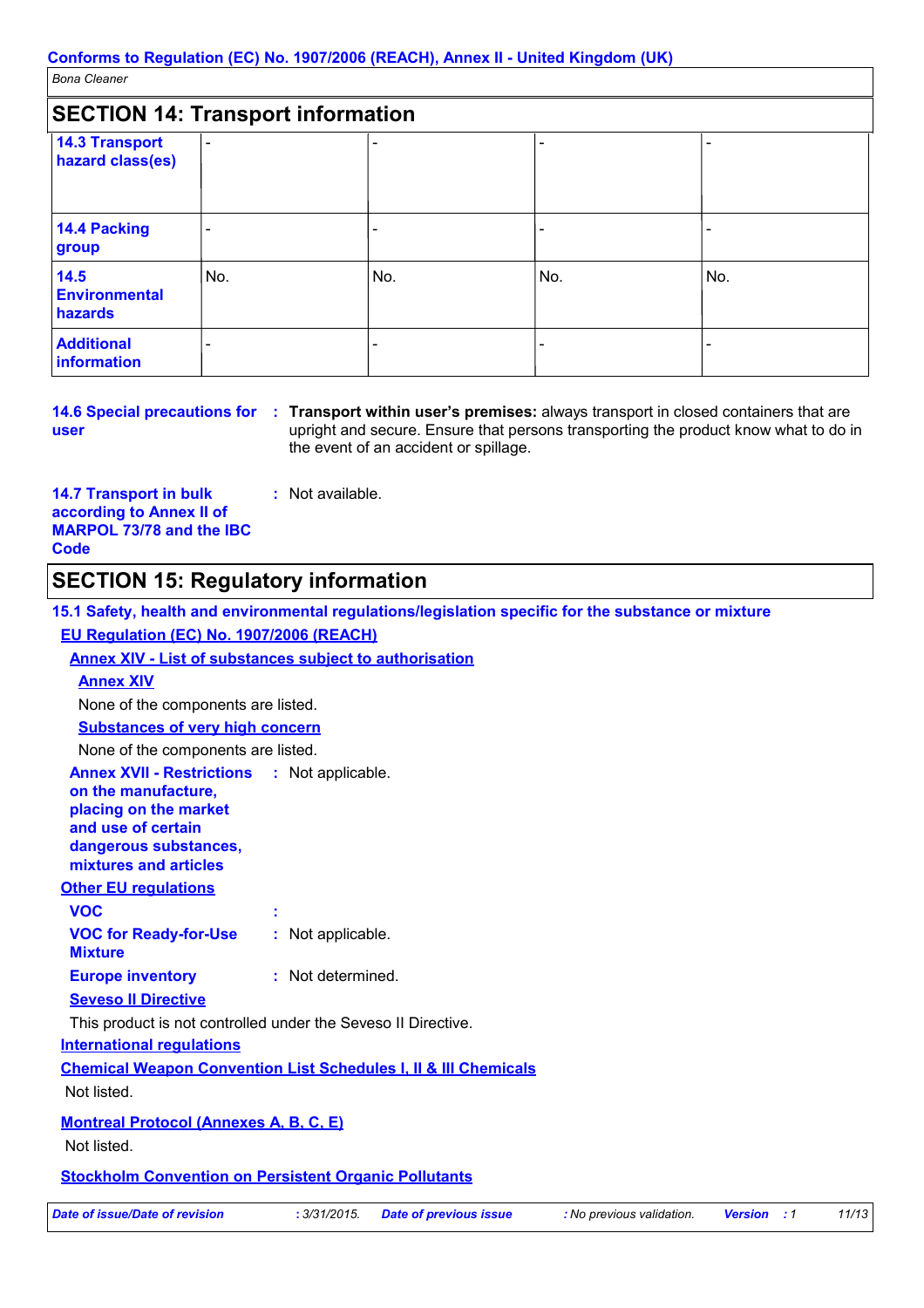| <b>SECTION 14: Transport information</b>  |                          |     |     |     |
|-------------------------------------------|--------------------------|-----|-----|-----|
| <b>14.3 Transport</b><br>hazard class(es) | -                        |     |     |     |
| 14.4 Packing<br>group                     | $\overline{\phantom{0}}$ |     |     |     |
| 14.5<br><b>Environmental</b><br>hazards   | No.                      | No. | No. | No. |
| <b>Additional</b><br>information          | $\overline{\phantom{0}}$ |     |     |     |

user

14.6 Special precautions for : Transport within user's premises: always transport in closed containers that are upright and secure. Ensure that persons transporting the product know what to do in the event of an accident or spillage.

 $11/13$ 

**14.7 Transport in bulk** according to Annex II of **MARPOL 73/78 and the IBC Code** 

# **SECTION 15: Regulatory information**

: Not available.

| 15.1 Safety, health and environmental regulations/legislation specific for the substance or mixture                                                                        |                   |                               |                           |                    |
|----------------------------------------------------------------------------------------------------------------------------------------------------------------------------|-------------------|-------------------------------|---------------------------|--------------------|
| EU Regulation (EC) No. 1907/2006 (REACH)                                                                                                                                   |                   |                               |                           |                    |
| <b>Annex XIV - List of substances subject to authorisation</b>                                                                                                             |                   |                               |                           |                    |
| <b>Annex XIV</b>                                                                                                                                                           |                   |                               |                           |                    |
| None of the components are listed.                                                                                                                                         |                   |                               |                           |                    |
| <b>Substances of very high concern</b>                                                                                                                                     |                   |                               |                           |                    |
| None of the components are listed.                                                                                                                                         |                   |                               |                           |                    |
| <b>Annex XVII - Restrictions : Not applicable.</b><br>on the manufacture,<br>placing on the market<br>and use of certain<br>dangerous substances,<br>mixtures and articles |                   |                               |                           |                    |
| <b>Other EU regulations</b>                                                                                                                                                |                   |                               |                           |                    |
| <b>VOC</b>                                                                                                                                                                 |                   |                               |                           |                    |
| <b>VOC for Ready-for-Use</b><br><b>Mixture</b>                                                                                                                             | : Not applicable. |                               |                           |                    |
| <b>Europe inventory</b>                                                                                                                                                    | : Not determined. |                               |                           |                    |
| <b>Seveso II Directive</b>                                                                                                                                                 |                   |                               |                           |                    |
| This product is not controlled under the Seveso II Directive.                                                                                                              |                   |                               |                           |                    |
| <b>International requlations</b>                                                                                                                                           |                   |                               |                           |                    |
| <b>Chemical Weapon Convention List Schedules I, II &amp; III Chemicals</b>                                                                                                 |                   |                               |                           |                    |
| Not listed.                                                                                                                                                                |                   |                               |                           |                    |
| <b>Montreal Protocol (Annexes A, B, C, E)</b><br>Not listed.                                                                                                               |                   |                               |                           |                    |
| <b>Stockholm Convention on Persistent Organic Pollutants</b>                                                                                                               |                   |                               |                           |                    |
| <b>Date of issue/Date of revision</b>                                                                                                                                      | : 3/31/2015.      | <b>Date of previous issue</b> | : No previous validation. | <b>Version</b> : 1 |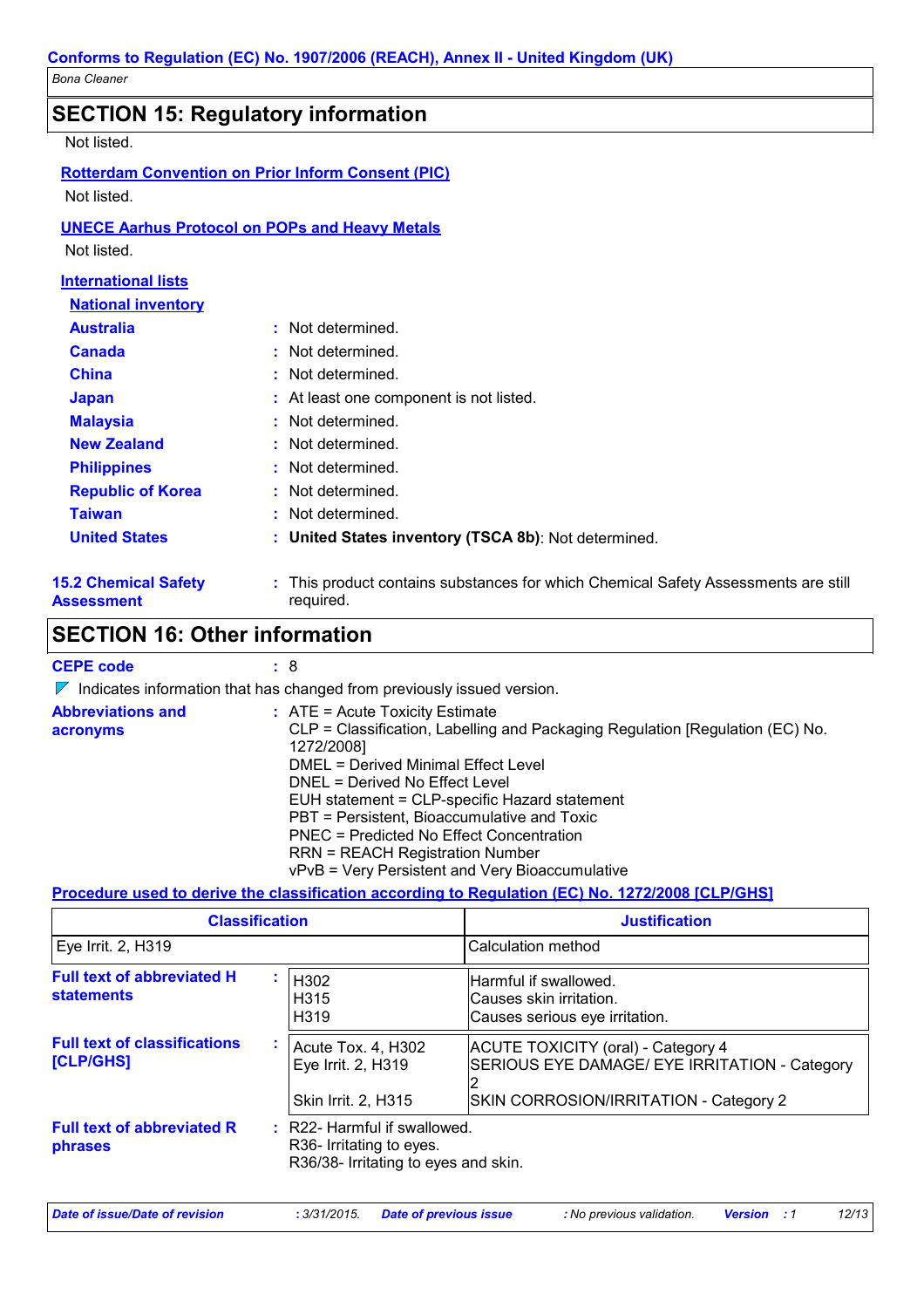|                                                  | <b>SECTION 15: Regulatory information</b>                                                       |
|--------------------------------------------------|-------------------------------------------------------------------------------------------------|
| Not listed.                                      |                                                                                                 |
|                                                  | <b>Rotterdam Convention on Prior Inform Consent (PIC)</b>                                       |
| Not listed.                                      |                                                                                                 |
|                                                  | <b>UNECE Aarhus Protocol on POPs and Heavy Metals</b>                                           |
| Not listed.                                      |                                                                                                 |
| <b>International lists</b>                       |                                                                                                 |
| <b>National inventory</b>                        |                                                                                                 |
| <b>Australia</b>                                 | : Not determined.                                                                               |
| Canada                                           | : Not determined.                                                                               |
| <b>China</b>                                     | : Not determined.                                                                               |
| <b>Japan</b>                                     | : At least one component is not listed.                                                         |
| <b>Malaysia</b>                                  | : Not determined.                                                                               |
| <b>New Zealand</b>                               | : Not determined.                                                                               |
| <b>Philippines</b>                               | : Not determined.                                                                               |
| <b>Republic of Korea</b>                         | : Not determined.                                                                               |
| <b>Taiwan</b>                                    | : Not determined.                                                                               |
| <b>United States</b>                             | : United States inventory (TSCA 8b): Not determined.                                            |
| <b>15.2 Chemical Safety</b><br><b>Assessment</b> | : This product contains substances for which Chemical Safety Assessments are still<br>required. |

# **SECTION 16: Other information**

| <b>CEPE code</b>                     | :8                                                                                                                                                                                                                                                                                                                                                                                                                                                          |
|--------------------------------------|-------------------------------------------------------------------------------------------------------------------------------------------------------------------------------------------------------------------------------------------------------------------------------------------------------------------------------------------------------------------------------------------------------------------------------------------------------------|
|                                      | $\triangledown$ Indicates information that has changed from previously issued version.                                                                                                                                                                                                                                                                                                                                                                      |
| <b>Abbreviations and</b><br>acronyms | $\therefore$ ATE = Acute Toxicity Estimate<br>CLP = Classification, Labelling and Packaging Regulation [Regulation (EC) No.<br>1272/2008]<br>DMEL = Derived Minimal Effect Level<br>DNEL = Derived No Effect Level<br>EUH statement = CLP-specific Hazard statement<br>PBT = Persistent, Bioaccumulative and Toxic<br>PNEC = Predicted No Effect Concentration<br><b>RRN = REACH Registration Number</b><br>vPvB = Very Persistent and Very Bioaccumulative |
|                                      | Bassa alam sa sa ata ata ang ang ang ang ang atawang ang Bassa ang Alam Ang Alba ang ang pangalang pangalang                                                                                                                                                                                                                                                                                                                                                |

### Procedure used to derive the classification according to Regulation (EC) No. 1272/2008 [CLP/GHS]

| <b>Classification</b>                                  |                                                                                                  | <b>Justification</b>                                                                                                          |  |
|--------------------------------------------------------|--------------------------------------------------------------------------------------------------|-------------------------------------------------------------------------------------------------------------------------------|--|
| Eye Irrit. 2, H319                                     |                                                                                                  | Calculation method                                                                                                            |  |
| <b>Full text of abbreviated H</b><br><b>statements</b> | H302<br>H <sub>315</sub><br>H319                                                                 | Harmful if swallowed.<br>Causes skin irritation.<br>Causes serious eye irritation.                                            |  |
| <b>Full text of classifications</b><br>[CLP/GHS]       | Acute Tox. 4, H302<br>Eye Irrit. 2, H319<br>Skin Irrit. 2, H315                                  | ACUTE TOXICITY (oral) - Category 4<br>SERIOUS EYE DAMAGE/ EYE IRRITATION - Category<br>SKIN CORROSION/IRRITATION - Category 2 |  |
| <b>Full text of abbreviated R</b><br>phrases           | : R22- Harmful if swallowed.<br>R36- Irritating to eyes.<br>R36/38- Irritating to eyes and skin. |                                                                                                                               |  |